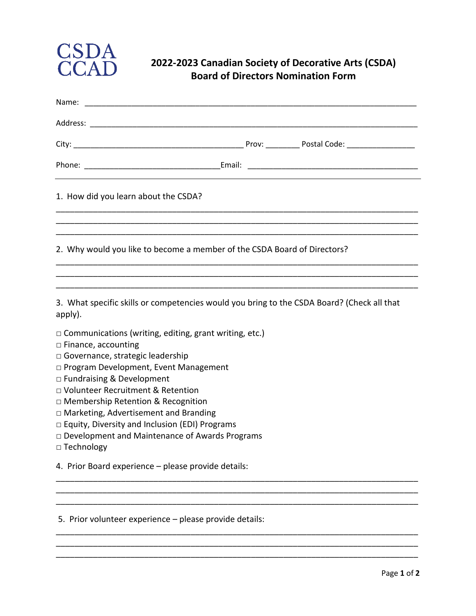

## **2022‐2023 Canadian Society of Decorative Arts (CSDA) Board of Directors Nomination Form**

| Name:                                                                                                 |  |  |
|-------------------------------------------------------------------------------------------------------|--|--|
|                                                                                                       |  |  |
|                                                                                                       |  |  |
|                                                                                                       |  |  |
| 1. How did you learn about the CSDA?                                                                  |  |  |
| 2. Why would you like to become a member of the CSDA Board of Directors?                              |  |  |
|                                                                                                       |  |  |
| 3. What specific skills or competencies would you bring to the CSDA Board? (Check all that<br>apply). |  |  |
| $\Box$ Communications (writing, editing, grant writing, etc.)<br>$\Box$ Finance, accounting           |  |  |
| $\Box$ Governance, strategic leadership                                                               |  |  |
| □ Program Development, Event Management<br>□ Fundraising & Development                                |  |  |
| □ Volunteer Recruitment & Retention                                                                   |  |  |
| □ Membership Retention & Recognition                                                                  |  |  |
| $\Box$ Marketing, Advertisement and Branding<br>$\Box$ Equity, Diversity and Inclusion (EDI) Programs |  |  |
| □ Development and Maintenance of Awards Programs                                                      |  |  |
| □ Technology                                                                                          |  |  |
| 4. Prior Board experience - please provide details:                                                   |  |  |
|                                                                                                       |  |  |
|                                                                                                       |  |  |

\_\_\_\_\_\_\_\_\_\_\_\_\_\_\_\_\_\_\_\_\_\_\_\_\_\_\_\_\_\_\_\_\_\_\_\_\_\_\_\_\_\_\_\_\_\_\_\_\_\_\_\_\_\_\_\_\_\_\_\_\_\_\_\_\_\_\_\_\_\_\_\_\_\_\_\_\_\_

\_\_\_\_\_\_\_\_\_\_\_\_\_\_\_\_\_\_\_\_\_\_\_\_\_\_\_\_\_\_\_\_\_\_\_\_\_\_\_\_\_\_\_\_\_\_\_\_\_\_\_\_\_\_\_\_\_\_\_\_\_\_\_\_\_\_\_\_\_\_\_\_\_\_\_\_\_\_

5. Prior volunteer experience – please provide details: